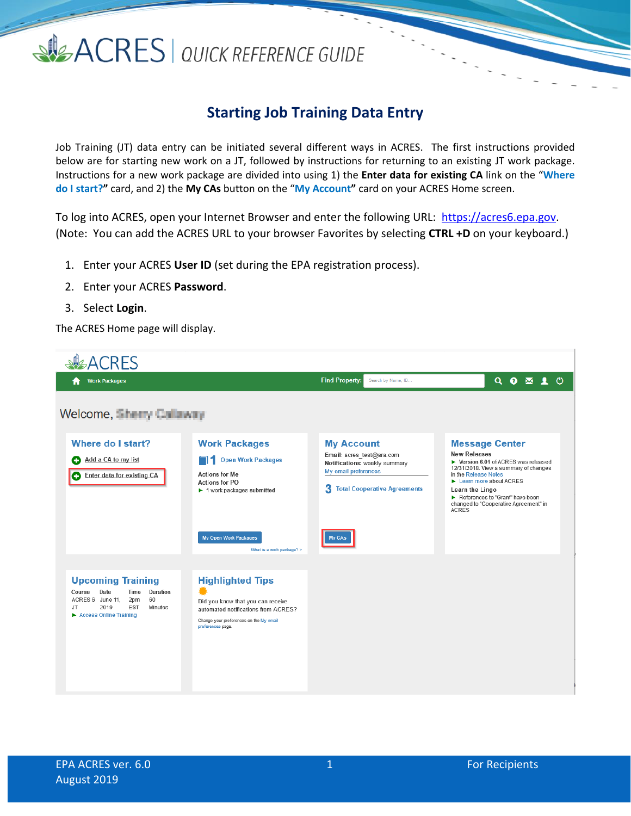### SIGACRES | QUICK REFERENCE GUIDE

### **Starting Job Training Data Entry**

Job Training (JT) data entry can be initiated several different ways in ACRES. The first instructions provided below are for starting new work on a JT, followed by instructions for returning to an existing JT work package. Instructions for a new work package are divided into using 1) the **Enter data for existing CA** link on the "**Where do I start?"** card, and 2) the **My CAs** button on the "**My Account"** card on your ACRES Home screen.

To log into ACRES, open your Internet Browser and enter the following URL: [https://acres6.epa.gov.](https://acres6.epa.gov/) (Note: You can add the ACRES URL to your browser Favorites by selecting **CTRL +D** on your keyboard.)

- 1. Enter your ACRES **User ID** (set during the EPA registration process).
- 2. Enter your ACRES **Password**.
- 3. Select **Login**.

The ACRES Home page will display.

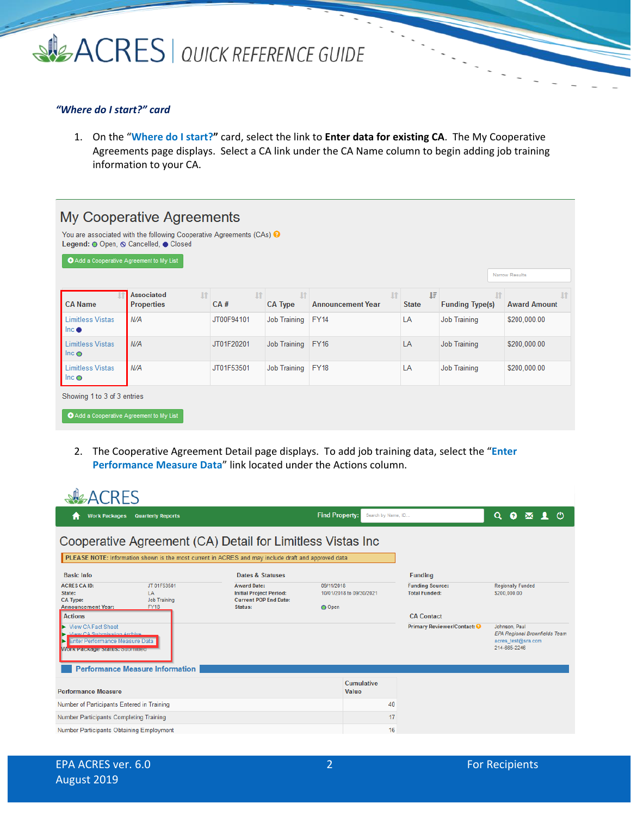

### *"Where do I start?" card*

1. On the "**Where do I start?"** card, select the link to **Enter data for existing CA**. The My Cooperative Agreements page displays. Select a CA link under the CA Name column to begin adding job training information to your CA.

| Add a Cooperative Agreement to My List   | My Cooperative Agreements<br>You are associated with the following Cooperative Agreements (CAs) $\Theta$ |            |                             |                                       |                    |                                     | Narrow Results                   |
|------------------------------------------|----------------------------------------------------------------------------------------------------------|------------|-----------------------------|---------------------------------------|--------------------|-------------------------------------|----------------------------------|
| <b>CA Name</b>                           | <b>Associated</b><br>$\lfloor \uparrow \rfloor$<br><b>Properties</b>                                     | 1 <br>CA#  | <b>If</b><br><b>CA Type</b> | <b>It</b><br><b>Announcement Year</b> | ΙF<br><b>State</b> | <b>If</b><br><b>Funding Type(s)</b> | <b>It</b><br><b>Award Amount</b> |
| <b>Limitless Vistas</b><br>$Inc \bullet$ | N/A                                                                                                      | JT00F94101 | Job Training                | <b>FY14</b>                           | LA                 | <b>Job Training</b>                 | \$200,000.00                     |
| <b>Limitless Vistas</b><br>Inc $\odot$   | N/A                                                                                                      | JT01F20201 | Job Training                | <b>FY16</b>                           | LA                 | <b>Job Training</b>                 | \$200,000.00                     |
| <b>Limitless Vistas</b><br>Inc $\odot$   | N/A                                                                                                      | JT01F53501 | Job Training                | <b>FY18</b>                           | LA                 | Job Training                        | \$200,000.00                     |
| Showing 1 to 3 of 3 entries              |                                                                                                          |            |                             |                                       |                    |                                     |                                  |
| Add a Cooperative Agreement to My List   |                                                                                                          |            |                             |                                       |                    |                                     |                                  |

2. The Cooperative Agreement Detail page displays. To add job training data, select the "**Enter Performance Measure Data**" link located under the Actions column.

| <b>CRES</b>                                                                                                                                                                       |                                                                                                 |                                                  |                                                |                                                                                             |  |  |
|-----------------------------------------------------------------------------------------------------------------------------------------------------------------------------------|-------------------------------------------------------------------------------------------------|--------------------------------------------------|------------------------------------------------|---------------------------------------------------------------------------------------------|--|--|
| <b>Quarterly Reports</b><br><b>Work Packages</b><br>п                                                                                                                             |                                                                                                 | <b>Find Property:</b><br>Search by Name, ID      |                                                | $\alpha$<br>$\bullet$<br>- (*)<br>$\overline{\mathsf{M}}$                                   |  |  |
| Cooperative Agreement (CA) Detail for Limitless Vistas Inc                                                                                                                        |                                                                                                 |                                                  |                                                |                                                                                             |  |  |
| PLEASE NOTE: Information shown is the most current in ACRES and may include draft and approved data                                                                               |                                                                                                 |                                                  |                                                |                                                                                             |  |  |
| <b>Basic Info</b>                                                                                                                                                                 | <b>Dates &amp; Statuses</b>                                                                     |                                                  | <b>Funding</b>                                 |                                                                                             |  |  |
| <b>ACRES CA ID:</b><br>JT 01F53501<br>LA<br>State:<br><b>CA Type:</b><br><b>Job Training</b><br><b>Announcement Year:</b><br><b>FY18</b>                                          | <b>Award Date:</b><br><b>Initial Project Period:</b><br><b>Current POP End Date:</b><br>Status: | 09/11/2018<br>10/01/2018 to 09/30/2021<br>O Open | <b>Funding Source:</b><br><b>Total Funded:</b> | <b>Regionally Funded</b><br>\$200,000.00                                                    |  |  |
| <b>Actions</b>                                                                                                                                                                    |                                                                                                 |                                                  | <b>CA Contact</b>                              |                                                                                             |  |  |
| <b>View CA Fact Sheet</b><br>View CA Submission Archive<br>Enter Performance Measure Data<br>Þ<br><b>WORK Package Status: Supmitted</b><br><b>Performance Measure Information</b> |                                                                                                 |                                                  | Primary Reviewer/Contact: 0                    | Johnson, Paul<br><b>EPA Regional Brownfields Team</b><br>acres_test@sra.com<br>214-665-2246 |  |  |
|                                                                                                                                                                                   |                                                                                                 | <b>Cumulative</b>                                |                                                |                                                                                             |  |  |
| <b>Performance Measure</b>                                                                                                                                                        |                                                                                                 | Value                                            |                                                |                                                                                             |  |  |
| Number of Participants Entered in Training                                                                                                                                        |                                                                                                 |                                                  | 40                                             |                                                                                             |  |  |
| Number Participants Completing Training                                                                                                                                           |                                                                                                 |                                                  | 17                                             |                                                                                             |  |  |
| Number Participants Obtaining Employment                                                                                                                                          |                                                                                                 |                                                  | 16                                             |                                                                                             |  |  |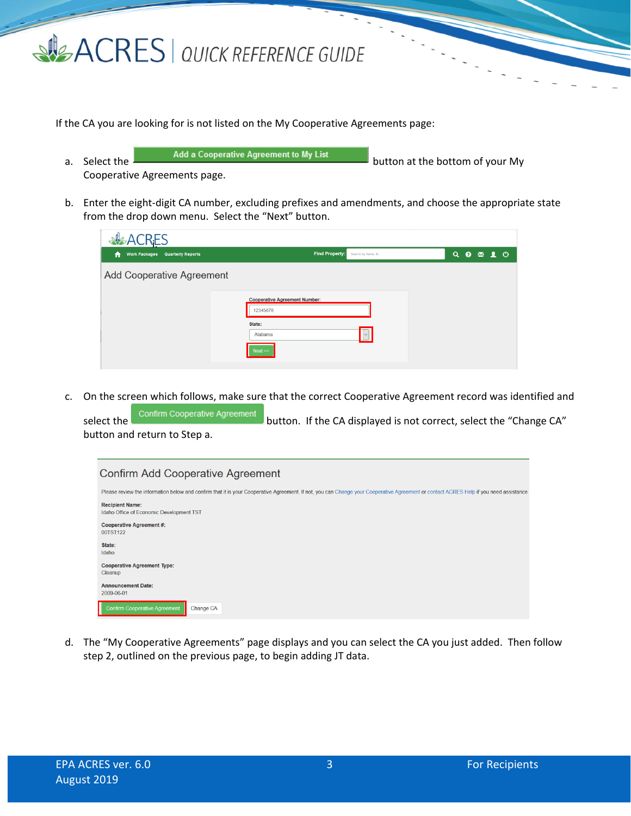

If the CA you are looking for is not listed on the My Cooperative Agreements page:

- a. Select the **consult and a Cooperative Agreement to My List** button at the bottom of your My Cooperative Agreements page.
- b. Enter the eight-digit CA number, excluding prefixes and amendments, and choose the appropriate state from the drop down menu. Select the "Next" button.

| <b>ALACRES</b>                              |                                                  |           |  |  |
|---------------------------------------------|--------------------------------------------------|-----------|--|--|
| <b>Work Packages Quarterly Reports</b><br>Ħ | Find Property:<br>Search by Name, ID             | Q O M L O |  |  |
| <b>Add Cooperative Agreement</b>            |                                                  |           |  |  |
|                                             | <b>Cooperative Agreement Number:</b><br>12345678 |           |  |  |
|                                             | State:<br>Alabama                                |           |  |  |
|                                             | Next                                             |           |  |  |

c. On the screen which follows, make sure that the correct Cooperative Agreement record was identified and

select the Confirm Cooperative Agreement button. If the CA displayed is not correct, select the "Change CA" button and return to Step a.

| <b>Confirm Add Cooperative Agreement</b>                                                                                                                                               |
|----------------------------------------------------------------------------------------------------------------------------------------------------------------------------------------|
| Please review the information below and confirm that it is your Cooperative Agreement. If not, you can Change your Cooperative Agreement or contact ACRES Help if you need assistance. |
| <b>Recipient Name:</b><br>Idaho Office of Economic Development TST                                                                                                                     |
| <b>Cooperative Agreement #:</b><br>00TST122                                                                                                                                            |
| State:<br>Idaho                                                                                                                                                                        |
| <b>Cooperative Agreement Type:</b><br>Cleanup                                                                                                                                          |
| <b>Announcement Date:</b><br>2009-06-01                                                                                                                                                |
| <b>Confirm Cooperative Agreement</b><br>Change CA                                                                                                                                      |

d. The "My Cooperative Agreements" page displays and you can select the CA you just added. Then follow step 2, outlined on the previous page, to begin adding JT data.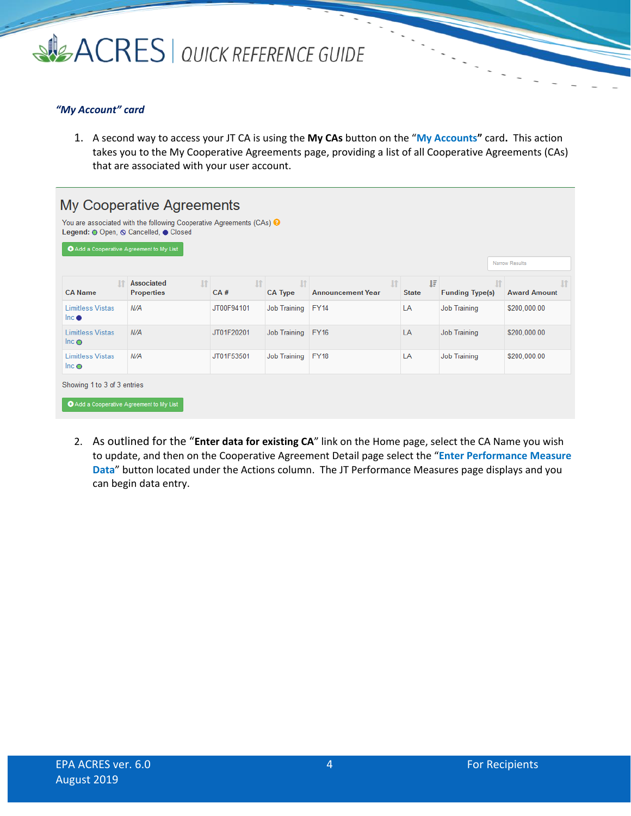

### *"My Account" card*

1. A second way to access your JT CA is using the **My CAs** button on the "**My Accounts"** card**.** This action takes you to the My Cooperative Agreements page, providing a list of all Cooperative Agreements (CAs) that are associated with your user account.

|                                          | You are associated with the following Cooperative Agreements (CAs) $\Theta$<br>Legend: O Open, O Cancelled, O Closed |            |                      |                                          |                   |                                     |                                  |
|------------------------------------------|----------------------------------------------------------------------------------------------------------------------|------------|----------------------|------------------------------------------|-------------------|-------------------------------------|----------------------------------|
| Add a Cooperative Agreement to My List   |                                                                                                                      |            |                      |                                          |                   |                                     | Narrow Results                   |
| <b>CA Name</b>                           | <b>Associated</b><br>$\mathbf{I}$<br><b>Properties</b>                                                               | 1 <br>CA#  | 11<br><b>CA Type</b> | $\mathbf{I}$<br><b>Announcement Year</b> | 耳<br><b>State</b> | <b>It</b><br><b>Funding Type(s)</b> | <b>If</b><br><b>Award Amount</b> |
| <b>Limitless Vistas</b><br>Inc $\bullet$ | N/A                                                                                                                  | JT00F94101 | Job Training         | <b>FY14</b>                              | LA                | <b>Job Training</b>                 | \$200,000.00                     |
| <b>Limitless Vistas</b><br>Inc $\circ$   | N/A                                                                                                                  | JT01F20201 | Job Training         | <b>FY16</b>                              | LA                | <b>Job Training</b>                 | \$200,000.00                     |
| <b>Limitless Vistas</b><br>$Inc$ $\odot$ | N/A                                                                                                                  | JT01F53501 | Job Training         | <b>FY18</b>                              | LA                | <b>Job Training</b>                 | \$200,000.00                     |
| Showing 1 to 3 of 3 entries              |                                                                                                                      |            |                      |                                          |                   |                                     |                                  |

2. As outlined for the "**Enter data for existing CA**" link on the Home page, select the CA Name you wish to update, and then on the Cooperative Agreement Detail page select the "**Enter Performance Measure Data**" button located under the Actions column. The JT Performance Measures page displays and you can begin data entry.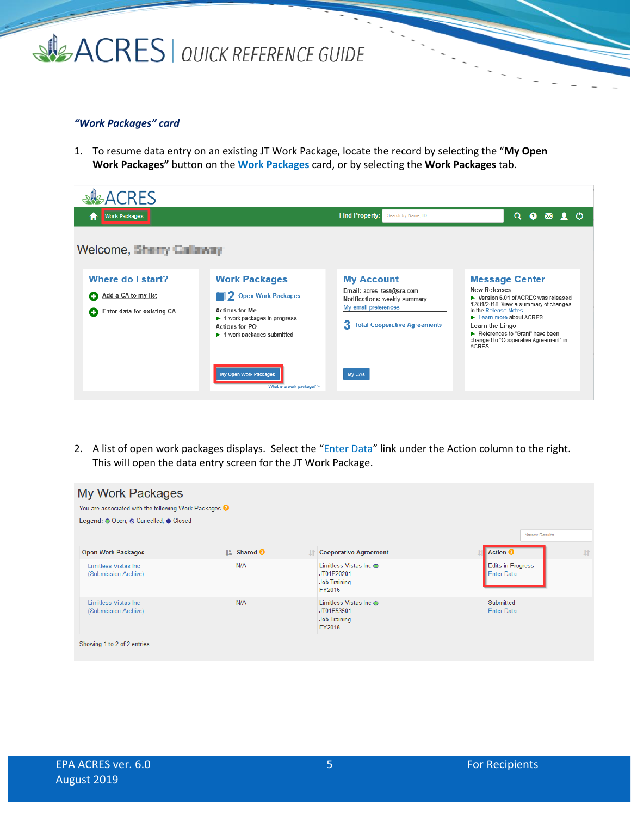## SIGACRES | QUICK REFERENCE GUIDE

### *"Work Packages" card*

1. To resume data entry on an existing JT Work Package, locate the record by selecting the "**My Open Work Packages"** button on the **Work Packages** card, or by selecting the **Work Packages** tab.

| <b>ACRES</b>                                                                       |                                                                                                                                                                                                        |                                                                                                                                                     |                                                                                                                                                                                                                                                                                                                      |
|------------------------------------------------------------------------------------|--------------------------------------------------------------------------------------------------------------------------------------------------------------------------------------------------------|-----------------------------------------------------------------------------------------------------------------------------------------------------|----------------------------------------------------------------------------------------------------------------------------------------------------------------------------------------------------------------------------------------------------------------------------------------------------------------------|
| <b>Work Packages</b><br>A                                                          |                                                                                                                                                                                                        | <b>Find Property:</b><br>Search by Name, ID                                                                                                         | $\alpha$<br>$\bullet$<br>- ෆ<br>$\bowtie$                                                                                                                                                                                                                                                                            |
| Welcome, Sherry Callaway                                                           |                                                                                                                                                                                                        |                                                                                                                                                     |                                                                                                                                                                                                                                                                                                                      |
| Where do I start?<br>Add a CA to my list<br>o<br><b>Enter data for existing CA</b> | <b>Work Packages</b><br><b>2</b> Open Work Packages<br><b>Actions for Me</b><br>$\blacktriangleright$ 1 work packages in progress<br>Actions for PO<br>$\blacktriangleright$ 1 work packages submitted | <b>My Account</b><br>Email: acres_test@sra.com<br>Notifications: weekly summary<br>My email preferences<br>з<br><b>Total Cooperative Agreements</b> | <b>Message Center</b><br><b>New Releases</b><br>▶ Version 6.01 of ACRES was released<br>12/31/2018. View a summary of changes<br>in the Release Notes<br>$\blacktriangleright$ Learn more about ACRES<br>Learn the Lingo<br>References to "Grant" have been<br>changed to "Cooperative Agreement" in<br><b>ACRES</b> |
|                                                                                    | My Open Work Packages<br>What is a work package? >                                                                                                                                                     | My CAs                                                                                                                                              |                                                                                                                                                                                                                                                                                                                      |

2. A list of open work packages displays. Select the "Enter Data" link under the Action column to the right. This will open the data entry screen for the JT Work Package.

| <b>My Work Packages</b><br>You are associated with the following Work Packages <sup>O</sup><br>Legend: O Open, O Cancelled, O Closed |                          |                                                                       |                                               | Narrow Results |
|--------------------------------------------------------------------------------------------------------------------------------------|--------------------------|-----------------------------------------------------------------------|-----------------------------------------------|----------------|
| <b>Open Work Packages</b>                                                                                                            | <b>L</b> Shared <b>♦</b> | <b>Tells</b> Cooperative Agreement                                    | Action <sup>O</sup>                           | $\mathbf{I}$   |
| Limitless Vistas Inc.<br>(Submission Archive)                                                                                        | N/A                      | Limitless Vistas Inc O<br>JT01F20201<br><b>Job Training</b><br>FY2016 | <b>Edits in Progress</b><br><b>Enter Data</b> |                |
| Limitless Vistas Inc.<br>(Submission Archive)                                                                                        | N/A                      | Limitless Vistas Inc ●<br>JT01F53501<br><b>Job Training</b><br>FY2018 | Submitted<br><b>Enter Data</b>                |                |
| Showing 1 to 2 of 2 entries                                                                                                          |                          |                                                                       |                                               |                |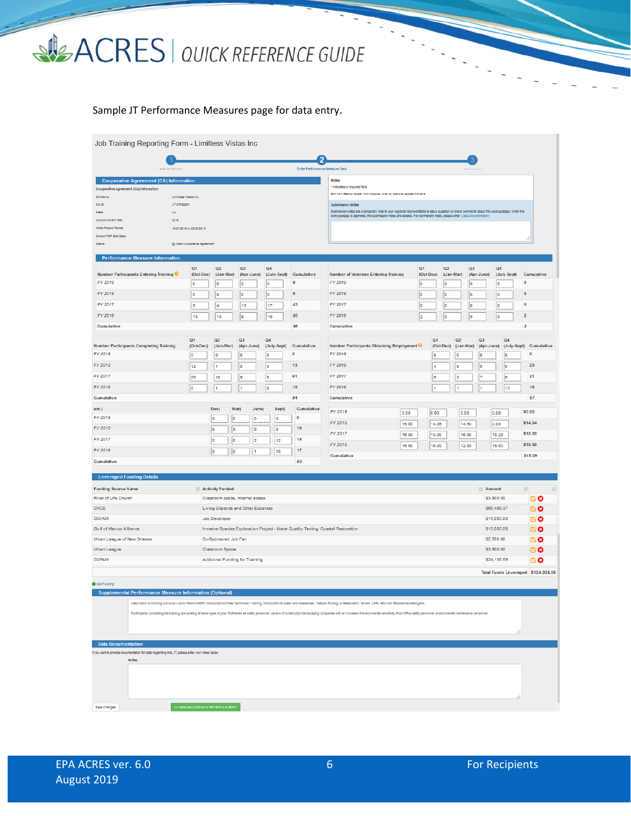# SACRES | QUICK REFERENCE GUIDE

### Sample JT Performance Measures page for data entry.

| Job Training Reporting Form - Limitless Vistas Inc                                             |                                                                                                                  |                                  |                                       |                   |                                |                                                                                                                                                                                                                                |       |                             |                 |                |                  |                          |                                        |  |
|------------------------------------------------------------------------------------------------|------------------------------------------------------------------------------------------------------------------|----------------------------------|---------------------------------------|-------------------|--------------------------------|--------------------------------------------------------------------------------------------------------------------------------------------------------------------------------------------------------------------------------|-------|-----------------------------|-----------------|----------------|------------------|--------------------------|----------------------------------------|--|
|                                                                                                |                                                                                                                  |                                  |                                       |                   |                                | $\overline{2}$                                                                                                                                                                                                                 |       |                             |                 |                |                  |                          |                                        |  |
|                                                                                                |                                                                                                                  |                                  |                                       |                   | Enter Performance Measure Data |                                                                                                                                                                                                                                |       |                             |                 |                |                  |                          |                                        |  |
| <b>Cooperative Agreement (CA) Information</b>                                                  |                                                                                                                  |                                  |                                       |                   |                                | <b>Notes</b>                                                                                                                                                                                                                   |       |                             |                 |                |                  |                          |                                        |  |
| Cooperative Agreement (CA) Information                                                         |                                                                                                                  |                                  |                                       |                   |                                | * Indicates a required field<br>EPA Form #5200-03 (9-2005), Form Approved, CMB No. 2050-0192, Eugines 07-31-2019                                                                                                               |       |                             |                 |                |                  |                          |                                        |  |
| CA Name                                                                                        | Limitiess Vistas Inc.                                                                                            |                                  |                                       |                   |                                |                                                                                                                                                                                                                                |       |                             |                 |                |                  |                          |                                        |  |
| CAID:<br>JT 01F20201<br>LA.<br>State:                                                          |                                                                                                                  |                                  |                                       |                   |                                | <b>Submission Notes</b><br>Submission notes are a temporary note to your regional representative to ask a question or share comments about this work package. When the                                                         |       |                             |                 |                |                  |                          |                                        |  |
| 2016<br>Announcement Year:                                                                     | work package is approved, the submission notes are deleted. For permanent notes, please enter Data Documentation |                                  |                                       |                   |                                |                                                                                                                                                                                                                                |       |                             |                 |                |                  |                          |                                        |  |
| Initial Project Period:                                                                        | 10/01/2016 to 09/30/2019                                                                                         |                                  |                                       |                   |                                |                                                                                                                                                                                                                                |       |                             |                 |                |                  |                          |                                        |  |
| Current POP End Date:                                                                          |                                                                                                                  |                                  |                                       |                   |                                |                                                                                                                                                                                                                                |       |                             |                 |                |                  |                          |                                        |  |
| Status:                                                                                        | @ Open Cooperative Agreement                                                                                     |                                  |                                       |                   |                                |                                                                                                                                                                                                                                |       |                             |                 |                |                  |                          |                                        |  |
| <b>Performance Measure Information</b>                                                         |                                                                                                                  |                                  |                                       |                   |                                |                                                                                                                                                                                                                                |       |                             |                 |                |                  |                          |                                        |  |
| <b>Number Participants Entering Training O</b>                                                 | Q <sub>1</sub><br>(Oct-Dec)                                                                                      | Q <sub>2</sub><br>(Jan-Mar)      | Q <sub>3</sub><br>(Apr-June)          | Q4<br>(July-Sept) | Cumulative                     | <b>Number of Veterans Entering Training</b>                                                                                                                                                                                    |       | Q <sub>1</sub><br>(Oct-Dec) | Q2<br>(Jan-Mar) | Q <sub>3</sub> | (Apr-June)       | Q4<br>(July-Sept)        | Cumulative                             |  |
| FY 2019<br>FY 2018                                                                             | ۱o<br>o                                                                                                          | ١o<br>0                          | ١o<br>0                               | ١o<br>۱o          | $\bf{0}$<br>$\pmb{0}$          | FY 2019<br>FY 2018                                                                                                                                                                                                             |       | lo<br>10                    | ١o<br>10        | ١o<br>o        |                  | lo<br>lо                 | $\mathbf{0}$<br>$\pmb{0}$              |  |
| FY 2017                                                                                        | 9                                                                                                                | 4                                | 13                                    | 17                | 43                             | FY 2017                                                                                                                                                                                                                        |       | 0                           | 0               | O              |                  | $\overline{\phantom{a}}$ | $\mathbf{0}$                           |  |
| FY 2016                                                                                        | 15                                                                                                               | 15                               | l9                                    | 16                | 55                             | FY 2016                                                                                                                                                                                                                        |       | 2                           | ۱o              | o              |                  | lо                       | $\overline{2}$                         |  |
| Cumulative                                                                                     |                                                                                                                  |                                  |                                       |                   | 98                             | Cumulative                                                                                                                                                                                                                     |       |                             |                 |                |                  |                          | $\overline{2}$                         |  |
|                                                                                                | Q <sub>1</sub>                                                                                                   | Q2                               | Q <sub>3</sub>                        | Q4                |                                |                                                                                                                                                                                                                                |       | Q <sub>1</sub>              |                 | Q2             | Q <sub>3</sub>   | Q4                       |                                        |  |
| <b>Number Participants Completing Training</b><br>FY 2019                                      | (Oct-Dec)                                                                                                        | (Jan-Mar)<br>10                  | (Apr-June)<br>10                      | (July-Sept)<br>10 | Cumulative<br>$\pmb{0}$        | <b>Number Participants Obtaining Employment O</b><br>FY 2019                                                                                                                                                                   |       | 0                           | (Oct-Dec)       | (Jan-Mar)<br>0 | (Apr-June)<br>0  | (July-Sept)<br>0         | Cumulative<br>$\pmb{0}$                |  |
| FY 2018                                                                                        | 0                                                                                                                |                                  |                                       |                   | 13                             | FY 2018                                                                                                                                                                                                                        |       |                             |                 |                |                  |                          | 20                                     |  |
| FY 2017                                                                                        | 12                                                                                                               | 1                                | 0                                     | 0                 | 61                             | FY 2017                                                                                                                                                                                                                        |       | 4                           |                 | 8              | 8                | o                        | 21                                     |  |
| FY 2016                                                                                        | 25<br>١o                                                                                                         | 18<br>1                          | I9<br>1                               | 9<br>8            | 10                             | FY 2016                                                                                                                                                                                                                        |       | l6<br>$\overline{1}$        |                 | 2<br>l1        | 7<br>h           | <b>B</b><br>13           | 16                                     |  |
| Cumulative                                                                                     |                                                                                                                  |                                  |                                       |                   | 84                             | Cumulative                                                                                                                                                                                                                     |       |                             |                 |                |                  |                          | 57                                     |  |
| etc.)                                                                                          |                                                                                                                  | Dec)                             | Mar)<br>June)                         | Sept)             | Cumulative                     |                                                                                                                                                                                                                                |       |                             |                 |                |                  |                          |                                        |  |
| FY 2019                                                                                        |                                                                                                                  | o<br>o                           | o                                     | ۱o                | $\circ$                        | FY 2019                                                                                                                                                                                                                        | 0.00  | 0.00                        |                 | 0.00           | 0.00             |                          | \$0.00                                 |  |
| FY 2018                                                                                        |                                                                                                                  | 18<br>5                          | 6                                     | ۱o                | 19                             | FY 2018                                                                                                                                                                                                                        | 15.00 | 14.35                       |                 | 14.50          | 0.00             |                          | \$14.54                                |  |
| FY 2017                                                                                        |                                                                                                                  | $ 0\rangle$<br>o                 | 2                                     | 12                | 14                             | FY 2017                                                                                                                                                                                                                        | 16.00 | 15.00                       |                 | 16.00          |                  | 15.25                    | \$15.69                                |  |
| FY 2016                                                                                        |                                                                                                                  | $\overline{0}$<br>$\overline{0}$ |                                       | 16                | 17                             | FY 2016                                                                                                                                                                                                                        | 16.50 | 16.00                       |                 | 12.50          |                  | 15.00                    | \$15.00                                |  |
| Cumulative                                                                                     |                                                                                                                  |                                  |                                       |                   | 50                             | Cumulative                                                                                                                                                                                                                     |       |                             |                 |                |                  |                          | \$15.09                                |  |
| <b>Leveraged Funding Details</b>                                                               |                                                                                                                  |                                  |                                       |                   |                                |                                                                                                                                                                                                                                |       |                             |                 |                |                  |                          |                                        |  |
| <b>Funding Source Name</b>                                                                     |                                                                                                                  | <b>Activity Funded</b>           |                                       |                   |                                |                                                                                                                                                                                                                                |       |                             |                 |                | <b>IT Amount</b> |                          | $\mathbf{H}$<br>$\left  \cdot \right $ |  |
| River of Life Church                                                                           |                                                                                                                  |                                  | Classroom space, internet access      |                   |                                |                                                                                                                                                                                                                                |       |                             |                 |                | \$3,900.00       |                          | ල ල                                    |  |
| CNCS                                                                                           |                                                                                                                  |                                  | Living Stipends and Other Expenses    |                   |                                |                                                                                                                                                                                                                                |       |                             |                 |                |                  | \$65,498.37              | ල ල                                    |  |
| <b>OXFAM</b>                                                                                   |                                                                                                                  | Job Developer                    |                                       |                   |                                |                                                                                                                                                                                                                                |       |                             |                 |                | \$15,000.00      |                          | ල ල                                    |  |
| Gulf of Mexico Alliance                                                                        |                                                                                                                  |                                  |                                       |                   |                                | Invasive Species Exploration Project - Water Quality Testing, Coastal Restoration                                                                                                                                              |       |                             |                 |                |                  | \$10,000.00              | ල ල                                    |  |
| Urban League of New Orleans                                                                    |                                                                                                                  | Co-Sponsored Job Fair            |                                       |                   |                                |                                                                                                                                                                                                                                |       |                             |                 |                | \$2,500.00       |                          | ල ල                                    |  |
| Urban League                                                                                   |                                                                                                                  | Classroom Space                  |                                       |                   |                                |                                                                                                                                                                                                                                |       |                             |                 |                | \$3,900.00       |                          | 60                                     |  |
| <b>OXFAM</b>                                                                                   |                                                                                                                  |                                  | <b>Addtional Funding for Training</b> |                   |                                |                                                                                                                                                                                                                                |       |                             |                 |                |                  | \$24,136.59              | ŒΘ                                     |  |
|                                                                                                | Total Funds Leveraged: \$124,934.96                                                                              |                                  |                                       |                   |                                |                                                                                                                                                                                                                                |       |                             |                 |                |                  |                          |                                        |  |
| O Add Funding                                                                                  |                                                                                                                  |                                  |                                       |                   |                                |                                                                                                                                                                                                                                |       |                             |                 |                |                  |                          |                                        |  |
| Supplemental Performance Measure Information (Optional)                                        |                                                                                                                  |                                  |                                       |                   |                                |                                                                                                                                                                                                                                |       |                             |                 |                |                  |                          |                                        |  |
|                                                                                                |                                                                                                                  |                                  |                                       |                   |                                | Description of training curricula - 40-hr HAZWOPER; introduction to Fleld Technician Training; introduction to Water and Wastewater; Wetland Ecology & Restoration; 1st Ald, CPR, AED and Bloodborne Pathogens.                |       |                             |                 |                |                  |                          |                                        |  |
|                                                                                                |                                                                                                                  |                                  |                                       |                   |                                | Participants completing the training are working at these types of jobs: Refineries as safety personnel, owners of construction/landscaping companies with an increase of environmental sensitivity. Post Office safety person |       |                             |                 |                |                  |                          |                                        |  |
|                                                                                                |                                                                                                                  |                                  |                                       |                   |                                |                                                                                                                                                                                                                                |       |                             |                 |                |                  |                          |                                        |  |
|                                                                                                |                                                                                                                  |                                  |                                       |                   |                                |                                                                                                                                                                                                                                |       |                             |                 |                |                  | .ii                      |                                        |  |
| <b>Data Documentation</b>                                                                      |                                                                                                                  |                                  |                                       |                   |                                |                                                                                                                                                                                                                                |       |                             |                 |                |                  |                          |                                        |  |
| If you want to provide documentation for data regarding this JT, please enter your notes below |                                                                                                                  |                                  |                                       |                   |                                |                                                                                                                                                                                                                                |       |                             |                 |                |                  |                          |                                        |  |
|                                                                                                | Notes:                                                                                                           |                                  |                                       |                   |                                |                                                                                                                                                                                                                                |       |                             |                 |                |                  |                          |                                        |  |
|                                                                                                |                                                                                                                  |                                  |                                       |                   |                                |                                                                                                                                                                                                                                |       |                             |                 |                |                  |                          |                                        |  |
|                                                                                                |                                                                                                                  |                                  |                                       |                   |                                |                                                                                                                                                                                                                                |       |                             |                 |                |                  |                          |                                        |  |
|                                                                                                |                                                                                                                  |                                  |                                       |                   |                                |                                                                                                                                                                                                                                |       |                             |                 |                |                  |                          |                                        |  |
| Save Changes                                                                                   | >> Save and Continue to REVIEW & SUBMIT                                                                          |                                  |                                       |                   |                                |                                                                                                                                                                                                                                |       |                             |                 |                |                  |                          |                                        |  |